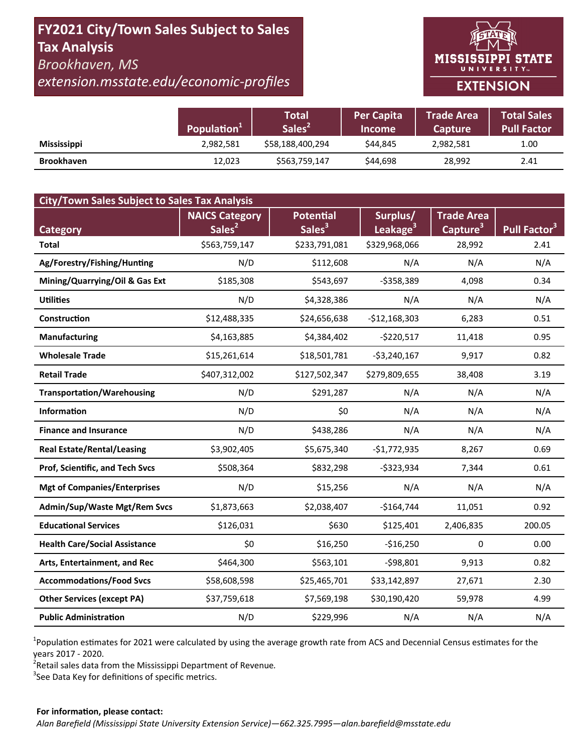## FY2021 City/Town Sales Subject to Sales **Tax Analysis** Brookhaven, MS

extension.msstate.edu/economic-profiles

# **MISSISSIPPI STATE** UNIVERSITY<sub>w</sub> **EXTENSION**

|                    | Population <sup>1</sup> | <b>Total</b><br>Sales <sup>2</sup> | <b>Per Capita</b><br><b>Income</b> | <b>Trade Area</b><br><b>Capture</b> | <b>Total Sales</b><br><b>Pull Factor</b> |
|--------------------|-------------------------|------------------------------------|------------------------------------|-------------------------------------|------------------------------------------|
| <b>Mississippi</b> | 2,982,581               | \$58,188,400,294                   | \$44.845                           | 2,982,581                           | 1.00                                     |
| <b>Brookhaven</b>  | 12,023                  | \$563,759,147                      | \$44,698                           | 28,992                              | 2.41                                     |

| <b>City/Town Sales Subject to Sales Tax Analysis</b> |                       |                    |                      |                      |                          |  |  |  |  |
|------------------------------------------------------|-----------------------|--------------------|----------------------|----------------------|--------------------------|--|--|--|--|
|                                                      | <b>NAICS Category</b> | <b>Potential</b>   | Surplus/             | <b>Trade Area</b>    |                          |  |  |  |  |
| <b>Category</b>                                      | Sales <sup>2</sup>    | Sales <sup>3</sup> | Leakage <sup>3</sup> | Capture <sup>3</sup> | Pull Factor <sup>3</sup> |  |  |  |  |
| <b>Total</b>                                         | \$563,759,147         | \$233,791,081      | \$329,968,066        | 28,992               | 2.41                     |  |  |  |  |
| Ag/Forestry/Fishing/Hunting                          | N/D                   | \$112,608          | N/A                  | N/A                  | N/A                      |  |  |  |  |
| Mining/Quarrying/Oil & Gas Ext                       | \$185,308             | \$543,697          | $-5358,389$          | 4,098                | 0.34                     |  |  |  |  |
| <b>Utilities</b>                                     | N/D                   | \$4,328,386        | N/A                  | N/A                  | N/A                      |  |  |  |  |
| Construction                                         | \$12,488,335          | \$24,656,638       | $-$12,168,303$       | 6,283                | 0.51                     |  |  |  |  |
| <b>Manufacturing</b>                                 | \$4,163,885           | \$4,384,402        | $-$220,517$          | 11,418               | 0.95                     |  |  |  |  |
| <b>Wholesale Trade</b>                               | \$15,261,614          | \$18,501,781       | $-$3,240,167$        | 9,917                | 0.82                     |  |  |  |  |
| <b>Retail Trade</b>                                  | \$407,312,002         | \$127,502,347      | \$279,809,655        | 38,408               | 3.19                     |  |  |  |  |
| <b>Transportation/Warehousing</b>                    | N/D                   | \$291,287          | N/A                  | N/A                  | N/A                      |  |  |  |  |
| <b>Information</b>                                   | N/D                   | \$0                | N/A                  | N/A                  | N/A                      |  |  |  |  |
| <b>Finance and Insurance</b>                         | N/D                   | \$438,286          | N/A                  | N/A                  | N/A                      |  |  |  |  |
| <b>Real Estate/Rental/Leasing</b>                    | \$3,902,405           | \$5,675,340        | $-$1,772,935$        | 8,267                | 0.69                     |  |  |  |  |
| Prof, Scientific, and Tech Svcs                      | \$508,364             | \$832,298          | $-$323,934$          | 7,344                | 0.61                     |  |  |  |  |
| <b>Mgt of Companies/Enterprises</b>                  | N/D                   | \$15,256           | N/A                  | N/A                  | N/A                      |  |  |  |  |
| Admin/Sup/Waste Mgt/Rem Svcs                         | \$1,873,663           | \$2,038,407        | $-$164,744$          | 11,051               | 0.92                     |  |  |  |  |
| <b>Educational Services</b>                          | \$126,031             | \$630              | \$125,401            | 2,406,835            | 200.05                   |  |  |  |  |
| <b>Health Care/Social Assistance</b>                 | \$0                   | \$16,250           | $-$16,250$           | $\Omega$             | 0.00                     |  |  |  |  |
| Arts, Entertainment, and Rec                         | \$464,300             | \$563,101          | $-598,801$           | 9,913                | 0.82                     |  |  |  |  |
| <b>Accommodations/Food Svcs</b>                      | \$58,608,598          | \$25,465,701       | \$33,142,897         | 27,671               | 2.30                     |  |  |  |  |
| <b>Other Services (except PA)</b>                    | \$37,759,618          | \$7,569,198        | \$30,190,420         | 59,978               | 4.99                     |  |  |  |  |
| <b>Public Administration</b>                         | N/D                   | \$229,996          | N/A                  | N/A                  | N/A                      |  |  |  |  |

<sup>1</sup>Population estimates for 2021 were calculated by using the average growth rate from ACS and Decennial Census estimates for the years 2017 - 2020.

<sup>2</sup>Retail sales data from the Mississippi Department of Revenue.

<sup>3</sup>See Data Key for definitions of specific metrics.

#### For information, please contact: Alan Barefield (Mississippi State University Extension Service)-662.325.7995-alan.barefield@msstate.edu